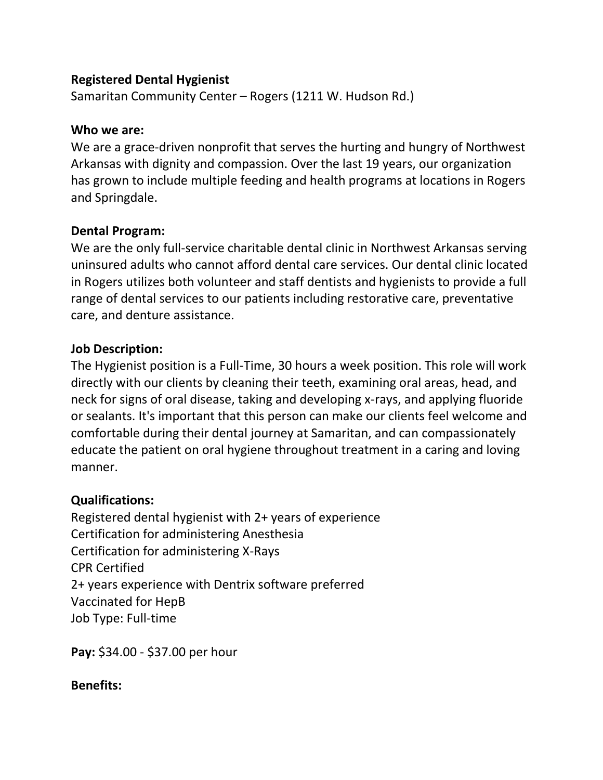### **Registered Dental Hygienist**

Samaritan Community Center – Rogers (1211 W. Hudson Rd.)

#### **Who we are:**

We are a grace-driven nonprofit that serves the hurting and hungry of Northwest Arkansas with dignity and compassion. Over the last 19 years, our organization has grown to include multiple feeding and health programs at locations in Rogers and Springdale.

### **Dental Program:**

We are the only full-service charitable dental clinic in Northwest Arkansas serving uninsured adults who cannot afford dental care services. Our dental clinic located in Rogers utilizes both volunteer and staff dentists and hygienists to provide a full range of dental services to our patients including restorative care, preventative care, and denture assistance.

### **Job Description:**

The Hygienist position is a Full-Time, 30 hours a week position. This role will work directly with our clients by cleaning their teeth, examining oral areas, head, and neck for signs of oral disease, taking and developing x-rays, and applying fluoride or sealants. It's important that this person can make our clients feel welcome and comfortable during their dental journey at Samaritan, and can compassionately educate the patient on oral hygiene throughout treatment in a caring and loving manner.

# **Qualifications:**

Registered dental hygienist with 2+ years of experience Certification for administering Anesthesia Certification for administering X-Rays CPR Certified 2+ years experience with Dentrix software preferred Vaccinated for HepB Job Type: Full-time

**Pay:** \$34.00 - \$37.00 per hour

**Benefits:**